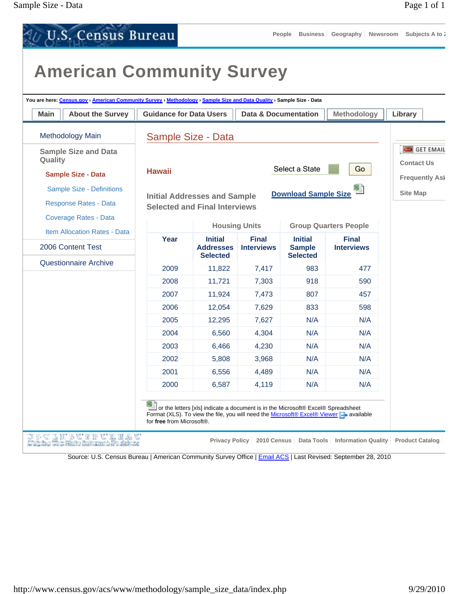| You are here: Census.gov > American Community Survey > Methodology > Sample Size and Data Quality > Sample Size - Data |                                |                                                                             |                                   |                                                    |                                   |                                          |
|------------------------------------------------------------------------------------------------------------------------|--------------------------------|-----------------------------------------------------------------------------|-----------------------------------|----------------------------------------------------|-----------------------------------|------------------------------------------|
| <b>About the Survey</b><br><b>Main</b>                                                                                 | <b>Guidance for Data Users</b> |                                                                             | Data & Documentation              |                                                    | Methodology                       | Library                                  |
| <b>Methodology Main</b>                                                                                                |                                | Sample Size - Data                                                          |                                   |                                                    |                                   |                                          |
| <b>Sample Size and Data</b><br>Quality                                                                                 | <b>Hawaii</b>                  |                                                                             |                                   | Select a State                                     | Go                                | GET EMAIL<br><b>Contact Us</b>           |
| <b>Sample Size - Data</b><br>Sample Size - Definitions<br><b>Response Rates - Data</b><br><b>Coverage Rates - Data</b> |                                | <b>Initial Addresses and Sample</b><br><b>Selected and Final Interviews</b> |                                   | <b>Download Sample Size</b>                        | 쮜                                 | <b>Frequently Ask</b><br><b>Site Map</b> |
| <b>Item Allocation Rates - Data</b>                                                                                    |                                |                                                                             | <b>Housing Units</b>              |                                                    | <b>Group Quarters People</b>      |                                          |
| 2006 Content Test                                                                                                      | Year                           | <b>Initial</b><br><b>Addresses</b><br><b>Selected</b>                       | <b>Final</b><br><b>Interviews</b> | <b>Initial</b><br><b>Sample</b><br><b>Selected</b> | <b>Final</b><br><b>Interviews</b> |                                          |
| <b>Questionnaire Archive</b>                                                                                           | 2009                           | 11,822                                                                      | 7,417                             | 983                                                | 477                               |                                          |
|                                                                                                                        | 2008                           | 11,721                                                                      | 7,303                             | 918                                                | 590                               |                                          |
|                                                                                                                        | 2007                           | 11,924                                                                      | 7,473                             | 807                                                | 457                               |                                          |
|                                                                                                                        | 2006                           | 12,054                                                                      | 7,629                             | 833                                                | 598                               |                                          |
|                                                                                                                        | 2005                           | 12,295                                                                      | 7,627                             | N/A                                                | N/A                               |                                          |
|                                                                                                                        | 2004                           | 6,560                                                                       | 4,304                             | N/A                                                | N/A                               |                                          |
|                                                                                                                        | 2003                           | 6,466                                                                       | 4,230                             | N/A                                                | N/A                               |                                          |
|                                                                                                                        | 2002                           | 5,808                                                                       | 3,968                             | N/A                                                | N/A                               |                                          |
|                                                                                                                        | 2001                           | 6,556                                                                       | 4,489                             | N/A                                                | N/A                               |                                          |
|                                                                                                                        | 2000                           | 6,587                                                                       | 4,119                             | N/A                                                | N/A                               |                                          |

Source: U.S. Census Bureau | American Community Survey Office | Email ACS | Last Revised: September 28, 2010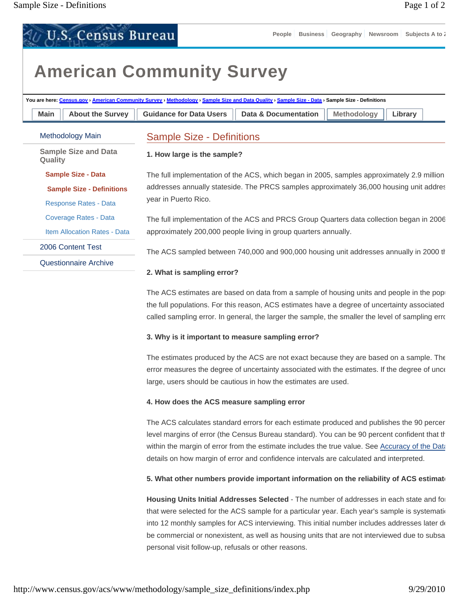# **American Community Survey**

**U.S. Census Bureau** 

| Main<br><b>About the Survey</b>        | <b>Guidance for Data Users</b>   | Data & Documentation                                                                       | <b>Methodology</b> | Library |
|----------------------------------------|----------------------------------|--------------------------------------------------------------------------------------------|--------------------|---------|
| Methodology Main                       | <b>Sample Size - Definitions</b> |                                                                                            |                    |         |
| <b>Sample Size and Data</b><br>Quality | 1. How large is the sample?      |                                                                                            |                    |         |
| <b>Sample Size - Data</b>              |                                  | The full implementation of the ACS, which began in 2005, samples approximately 2.9 million |                    |         |
| <b>Sample Size - Definitions</b>       |                                  | addresses annually stateside. The PRCS samples approximately 36,000 housing unit addres    |                    |         |
| Response Rates - Data                  | year in Puerto Rico.             |                                                                                            |                    |         |
| Coverage Rates - Data                  |                                  | The full implementation of the ACS and PRCS Group Quarters data collection began in 2006   |                    |         |
| <b>Item Allocation Rates - Data</b>    |                                  | approximately 200,000 people living in group quarters annually.                            |                    |         |
| 2006 Content Test                      |                                  | The ACS sampled between 740,000 and 900,000 housing unit addresses annually in 2000 th     |                    |         |
| Questionnaire Archive                  |                                  |                                                                                            |                    |         |

The ACS estimates are based on data from a sample of housing units and people in the pop the full populations. For this reason, ACS estimates have a degree of uncertainty associated called sampling error. In general, the larger the sample, the smaller the level of sampling erro

#### **3. Why is it important to measure sampling error?**

The estimates produced by the ACS are not exact because they are based on a sample. The error measures the degree of uncertainty associated with the estimates. If the degree of unce large, users should be cautious in how the estimates are used.

#### **4. How does the ACS measure sampling error**

The ACS calculates standard errors for each estimate produced and publishes the 90 percen level margins of error (the Census Bureau standard). You can be 90 percent confident that th within the margin of error from the estimate includes the true value. See Accuracy of the Data details on how margin of error and confidence intervals are calculated and interpreted.

### **5. What other numbers provide important information on the reliability of ACS estimate**

**Housing Units Initial Addresses Selected** - The number of addresses in each state and for that were selected for the ACS sample for a particular year. Each year's sample is systemation into 12 monthly samples for ACS interviewing. This initial number includes addresses later de be commercial or nonexistent, as well as housing units that are not interviewed due to subsa personal visit follow-up, refusals or other reasons.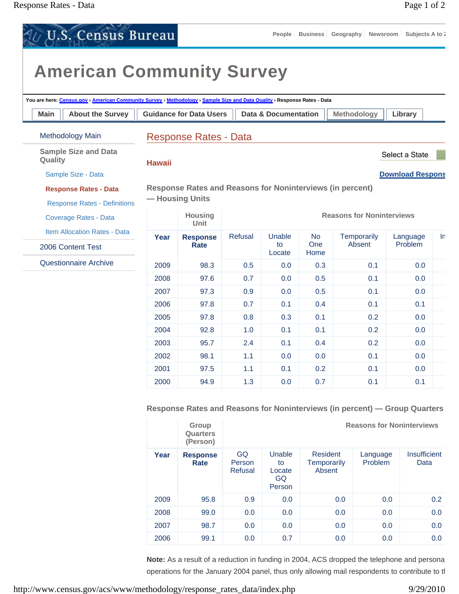| <b>U.S. Census Bureau</b>                                                                                                                                     |               |                                                                  |         | People               |                    | Business Geography Newsroom Subjects A to i |                         |  |
|---------------------------------------------------------------------------------------------------------------------------------------------------------------|---------------|------------------------------------------------------------------|---------|----------------------|--------------------|---------------------------------------------|-------------------------|--|
| <b>American Community Survey</b><br>You are here: Census.gov > American Community Survey > Methodology > Sample Size and Data Quality > Response Rates - Data |               |                                                                  |         |                      |                    |                                             |                         |  |
| <b>About the Survey</b><br>Main                                                                                                                               |               | <b>Guidance for Data Users</b>                                   |         | Data & Documentation |                    | <b>Methodology</b>                          | Library                 |  |
| <b>Methodology Main</b>                                                                                                                                       |               | <b>Response Rates - Data</b>                                     |         |                      |                    |                                             |                         |  |
| <b>Sample Size and Data</b><br>Quality                                                                                                                        | <b>Hawaii</b> |                                                                  |         |                      |                    |                                             | Select a State          |  |
| Sample Size - Data                                                                                                                                            |               |                                                                  |         |                      |                    |                                             | <b>Download Respons</b> |  |
| <b>Response Rates - Data</b>                                                                                                                                  |               | <b>Response Rates and Reasons for Noninterviews (in percent)</b> |         |                      |                    |                                             |                         |  |
| <b>Response Rates - Definitions</b>                                                                                                                           |               | - Housing Units                                                  |         |                      |                    |                                             |                         |  |
| Coverage Rates - Data                                                                                                                                         |               | <b>Housing</b><br><b>Unit</b>                                    |         |                      |                    | <b>Reasons for Noninterviews</b>            |                         |  |
| <b>Item Allocation Rates - Data</b>                                                                                                                           | Year          | <b>Response</b>                                                  | Refusal | Unable               | No.                | Temporarily                                 | Language                |  |
| 2006 Content Test                                                                                                                                             |               | Rate                                                             |         | to<br>Locate         | <b>One</b><br>Home | Absent                                      | <b>Problem</b>          |  |
| Questionnaire Archive                                                                                                                                         | 2009          | 98.3                                                             | 0.5     | 0.0                  | 0.3                | 0.1                                         | 0.0                     |  |
|                                                                                                                                                               | 2008          | 97.6                                                             | 0.7     | 0.0                  | 0.5                | 0.1                                         | 0.0                     |  |
|                                                                                                                                                               | 2007          | 97.3                                                             | 0.9     | 0.0                  | 0.5                | 0.1                                         | 0.0                     |  |
|                                                                                                                                                               | 2006          | 97.8                                                             | 0.7     | 0.1                  | 0.4                | 0.1                                         | 0.1                     |  |
|                                                                                                                                                               | 2005          | 97.8                                                             | 0.8     | 0.3                  | 0.1                | 0.2                                         | 0.0                     |  |
|                                                                                                                                                               | 2004          | 92.8                                                             | 1.0     | 0.1                  | 0.1                | 0.2                                         | 0.0                     |  |
|                                                                                                                                                               | 2003          | 95.7                                                             | 2.4     | 0.1                  | 0.4                | 0.2                                         | 0.0                     |  |
|                                                                                                                                                               | 2002          | 98.1                                                             | 1.1     | 0.0                  | 0.0                | 0.1                                         | 0.0                     |  |
|                                                                                                                                                               | 2001          | 97.5                                                             | 1.1     | 0.1                  | 0.2                | 0.1                                         | 0.0                     |  |
|                                                                                                                                                               | 2000          | 94.9                                                             | 1.3     | 0.0                  | 0.7                | 0.1                                         | 0.1                     |  |

**Response Rates and Reasons for Noninterviews (in percent) — Group Quarters**

|      | Group<br>Quarters<br>(Person) | <b>Reasons for Noninterviews</b> |                                        |                                          |                     |                      |  |  |  |
|------|-------------------------------|----------------------------------|----------------------------------------|------------------------------------------|---------------------|----------------------|--|--|--|
| Year | <b>Response</b><br>Rate       | GQ<br>Person<br>Refusal          | Unable<br>to<br>Locate<br>GQ<br>Person | <b>Resident</b><br>Temporarily<br>Absent | Language<br>Problem | Insufficient<br>Data |  |  |  |
| 2009 | 95.8                          | 0.9                              | 0.0                                    | 0.0                                      | 0.0                 | 0.2 <sub>0</sub>     |  |  |  |
| 2008 | 99.0                          | 0.0                              | 0.0                                    | 0.0                                      | 0.0                 | 0.0                  |  |  |  |
| 2007 | 98.7                          | 0.0                              | 0.0                                    | 0.0                                      | 0.0                 | 0.0                  |  |  |  |
| 2006 | 99.1                          | 0.0                              | 0.7                                    | 0.0                                      | 0.0                 | 0.0                  |  |  |  |

**Note:** As a result of a reduction in funding in 2004, ACS dropped the telephone and persona operations for the January 2004 panel, thus only allowing mail respondents to contribute to th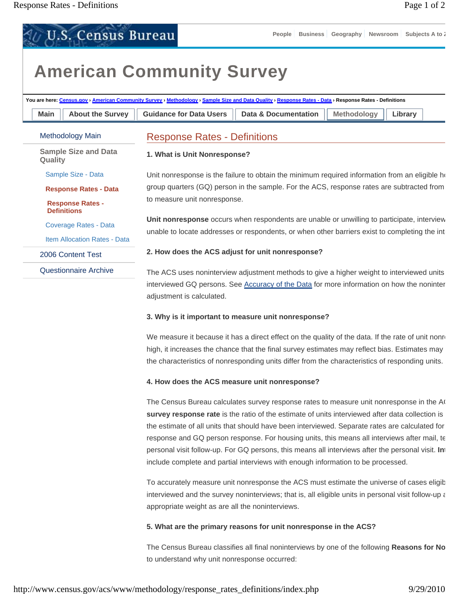**U.S. Census Bureau** 

# **American Community Survey**

| You are here: Census.gov > American Community Survey > Methodology > Sample Size and Data Quality > Response Rates - Data > Response Rates - Definitions |                                               |                                                                                           |                                                                                                                                                                                        |                    |         |  |  |  |  |
|----------------------------------------------------------------------------------------------------------------------------------------------------------|-----------------------------------------------|-------------------------------------------------------------------------------------------|----------------------------------------------------------------------------------------------------------------------------------------------------------------------------------------|--------------------|---------|--|--|--|--|
| Main                                                                                                                                                     | <b>About the Survey</b>                       | <b>Guidance for Data Users</b>                                                            | <b>Data &amp; Documentation</b>                                                                                                                                                        | <b>Methodology</b> | Library |  |  |  |  |
|                                                                                                                                                          | Methodology Main                              | <b>Response Rates - Definitions</b>                                                       |                                                                                                                                                                                        |                    |         |  |  |  |  |
| Quality                                                                                                                                                  | <b>Sample Size and Data</b>                   | 1. What is Unit Nonresponse?                                                              |                                                                                                                                                                                        |                    |         |  |  |  |  |
|                                                                                                                                                          | Sample Size - Data                            |                                                                                           | Unit nonresponse is the failure to obtain the minimum required information from an eligible $\hbar$                                                                                    |                    |         |  |  |  |  |
|                                                                                                                                                          | <b>Response Rates - Data</b>                  | group quarters (GQ) person in the sample. For the ACS, response rates are subtracted from |                                                                                                                                                                                        |                    |         |  |  |  |  |
|                                                                                                                                                          | <b>Response Rates -</b><br><b>Definitions</b> | to measure unit nonresponse.                                                              |                                                                                                                                                                                        |                    |         |  |  |  |  |
|                                                                                                                                                          | Coverage Rates - Data                         |                                                                                           | Unit nonresponse occurs when respondents are unable or unwilling to participate, interview                                                                                             |                    |         |  |  |  |  |
|                                                                                                                                                          | <b>Item Allocation Rates - Data</b>           |                                                                                           | unable to locate addresses or respondents, or when other barriers exist to completing the int                                                                                          |                    |         |  |  |  |  |
|                                                                                                                                                          | 2006 Content Test                             |                                                                                           | 2. How does the ACS adjust for unit nonresponse?                                                                                                                                       |                    |         |  |  |  |  |
|                                                                                                                                                          | Questionnaire Archive                         |                                                                                           | The ACS uses noninterview adjustment methods to give a higher weight to interviewed units<br>interviewed GQ persons. See Accuracy of the Data for more information on how the noninter |                    |         |  |  |  |  |

# **3. Why is it important to measure unit nonresponse?**

adjustment is calculated.

We measure it because it has a direct effect on the quality of the data. If the rate of unit nonre high, it increases the chance that the final survey estimates may reflect bias. Estimates may the characteristics of nonresponding units differ from the characteristics of responding units.

### **4. How does the ACS measure unit nonresponse?**

The Census Bureau calculates survey response rates to measure unit nonresponse in the AC **survey response rate** is the ratio of the estimate of units interviewed after data collection is the estimate of all units that should have been interviewed. Separate rates are calculated for response and GQ person response. For housing units, this means all interviews after mail, te personal visit follow-up. For GQ persons, this means all interviews after the personal visit. **Int** include complete and partial interviews with enough information to be processed.

To accurately measure unit nonresponse the ACS must estimate the universe of cases eligib interviewed and the survey noninterviews; that is, all eligible units in personal visit follow-up a appropriate weight as are all the noninterviews.

# **5. What are the primary reasons for unit nonresponse in the ACS?**

The Census Bureau classifies all final noninterviews by one of the following **Reasons for No** to understand why unit nonresponse occurred: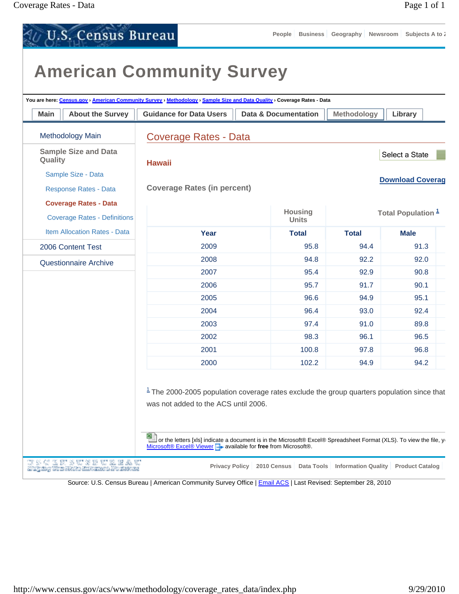**U.S. Census Bureau People Business Geography Newsroom Subjects A to Z American Community Survey You are here: Census.gov › American Community Survey › Methodology › Sample Size and Data Quality › Coverage Rates - Data Main** | About the Survey | Guidance for Data Users | Data & Documentation | Methodology | Library Methodology Main Coverage Rates - Data **Sample Size and Data**  Select a State **Quality Hawaii** Sample Size - Data **Download Coverag** Response Rates - Data **Coverage Rates (in percent) Coverage Rates - Data Housing Total Population 1** Coverage Rates - Definitions **Units** Item Allocation Rates - Data **Year Total Total Male** 2009 95.8 94.4 91.3 2006 Content Test 2008 94.8 92.2 92.0 Questionnaire Archive 2007 95.4 92.9 90.8 2006 95.7 91.7 90.1 2005 96.6 94.9 95.1 2004 96.4 93.0 92.4 2003 97.4 91.0 89.8 2002 98.3 96.1 96.5 2001 100.8 97.8 96.8 2000 102.2 94.9 94.2  $1$  The 2000-2005 population coverage rates exclude the group quarters population since that was not added to the ACS until 2006. or the letters [xls] indicate a document is in the Microsoft® Excel® Spreadsheet Format (XLS). To view the file, you **Microsoft® Excel® Viewer a** available for free from Microsoft®. *TSCERSUSEURBAU* **Privacy Policy 2010 Census Data Tools Information Quality Product Catalog** Mathematic Winn Minter Hottomore Discussions

Source: U.S. Census Bureau | American Community Survey Office | Email ACS | Last Revised: September 28, 2010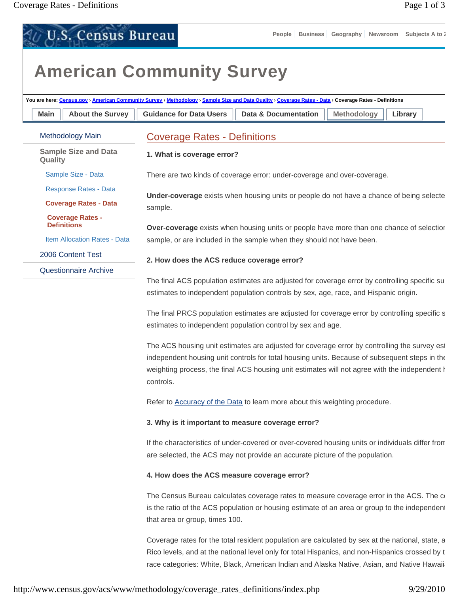U.S. Census Bureau

# **American Community Survey**

| <b>About the Survey</b><br>Main               | <b>Guidance for Data Users</b><br><b>Data &amp; Documentation</b><br><b>Methodology</b><br>Library                |
|-----------------------------------------------|-------------------------------------------------------------------------------------------------------------------|
| <b>Methodology Main</b>                       | <b>Coverage Rates - Definitions</b>                                                                               |
| <b>Sample Size and Data</b><br>Quality        | 1. What is coverage error?                                                                                        |
| Sample Size - Data                            | There are two kinds of coverage error: under-coverage and over-coverage.                                          |
| <b>Response Rates - Data</b>                  | Under-coverage exists when housing units or people do not have a chance of being selecte                          |
| <b>Coverage Rates - Data</b>                  | sample.                                                                                                           |
| <b>Coverage Rates -</b><br><b>Definitions</b> | Over-coverage exists when housing units or people have more than one chance of selectior                          |
| Item Allocation Rates - Data                  | sample, or are included in the sample when they should not have been.                                             |
| 2006 Content Test                             | 2. How does the ACS reduce coverage error?                                                                        |
| <b>Questionnaire Archive</b>                  |                                                                                                                   |
|                                               | The final ACS population estimates are adjusted for coverage error by controlling specific sur                    |
|                                               | estimates to independent population controls by sex, age, race, and Hispanic origin.                              |
|                                               | The final PRCS population estimates are adjusted for coverage error by controlling specific s                     |
|                                               | estimates to independent population control by sex and age.                                                       |
|                                               | The ACS housing unit estimates are adjusted for coverage error by controlling the survey est                      |
|                                               | independent housing unit controls for total housing units. Because of subsequent steps in the                     |
|                                               | weighting process, the final ACS housing unit estimates will not agree with the independent <b>h</b><br>controls. |
|                                               |                                                                                                                   |
|                                               | Refer to Accuracy of the Data to learn more about this weighting procedure.                                       |
|                                               | 3. Why is it important to measure coverage error?                                                                 |
|                                               | If the characteristics of under-covered or over-covered housing units or individuals differ from                  |
|                                               | are selected, the ACS may not provide an accurate picture of the population.                                      |
|                                               | 4. How does the ACS measure coverage error?                                                                       |
|                                               | The Census Bureau calculates coverage rates to measure coverage error in the ACS. The co                          |
|                                               | is the ratio of the ACS population or housing estimate of an area or group to the independent                     |
|                                               | that area or group, times 100.                                                                                    |
|                                               | Coverage rates for the total resident population are calculated by sex at the national, state, a                  |
|                                               | Rico levels, and at the national level only for total Hispanics, and non-Hispanics crossed by t                   |
|                                               | race categories: White, Black, American Indian and Alaska Native, Asian, and Native Hawaiia                       |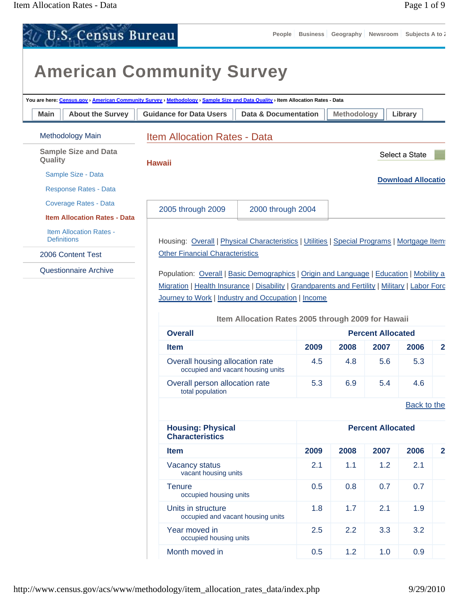|             | <b>U.S. Census Bureau</b>                            |                                                                                                                                                                                           | People                                                                                             | <b>Business</b> |      |                          | Geography Newsroom Subjects A to i |                |  |  |  |
|-------------|------------------------------------------------------|-------------------------------------------------------------------------------------------------------------------------------------------------------------------------------------------|----------------------------------------------------------------------------------------------------|-----------------|------|--------------------------|------------------------------------|----------------|--|--|--|
|             |                                                      | <b>American Community Survey</b>                                                                                                                                                          |                                                                                                    |                 |      |                          |                                    |                |  |  |  |
|             |                                                      | You are here: Census.gov > American Community Survey > Methodology > Sample Size and Data Quality > Item Allocation Rates - Data                                                          |                                                                                                    |                 |      |                          |                                    |                |  |  |  |
| <b>Main</b> | <b>About the Survey</b>                              |                                                                                                                                                                                           | <b>Guidance for Data Users</b><br><b>Data &amp; Documentation</b><br><b>Methodology</b><br>Library |                 |      |                          |                                    |                |  |  |  |
|             | Methodology Main                                     | <b>Item Allocation Rates - Data</b>                                                                                                                                                       |                                                                                                    |                 |      |                          |                                    |                |  |  |  |
| Quality     | <b>Sample Size and Data</b>                          |                                                                                                                                                                                           |                                                                                                    |                 |      |                          | Select a State                     |                |  |  |  |
|             | Sample Size - Data                                   | <b>Hawaii</b>                                                                                                                                                                             |                                                                                                    |                 |      |                          |                                    |                |  |  |  |
|             | <b>Response Rates - Data</b>                         |                                                                                                                                                                                           |                                                                                                    |                 |      |                          | <b>Download Allocatio</b>          |                |  |  |  |
|             | <b>Coverage Rates - Data</b>                         |                                                                                                                                                                                           |                                                                                                    |                 |      |                          |                                    |                |  |  |  |
|             | <b>Item Allocation Rates - Data</b>                  | 2005 through 2009                                                                                                                                                                         | 2000 through 2004                                                                                  |                 |      |                          |                                    |                |  |  |  |
|             | <b>Item Allocation Rates -</b><br><b>Definitions</b> |                                                                                                                                                                                           |                                                                                                    |                 |      |                          |                                    |                |  |  |  |
|             | 2006 Content Test                                    | Housing: Overall   Physical Characteristics   Utilities   Special Programs   Mortgage Items<br><b>Other Financial Characteristics</b>                                                     |                                                                                                    |                 |      |                          |                                    |                |  |  |  |
|             | <b>Questionnaire Archive</b>                         |                                                                                                                                                                                           |                                                                                                    |                 |      |                          |                                    |                |  |  |  |
|             |                                                      | Population: Overall   Basic Demographics   Origin and Language   Education   Mobility a<br>Migration   Health Insurance   Disability   Grandparents and Fertility   Military   Labor Forc |                                                                                                    |                 |      |                          |                                    |                |  |  |  |
|             |                                                      | Journey to Work   Industry and Occupation   Income                                                                                                                                        |                                                                                                    |                 |      |                          |                                    |                |  |  |  |
|             |                                                      |                                                                                                                                                                                           | Item Allocation Rates 2005 through 2009 for Hawaii                                                 |                 |      |                          |                                    |                |  |  |  |
|             |                                                      | <b>Overall</b>                                                                                                                                                                            |                                                                                                    |                 |      | <b>Percent Allocated</b> |                                    |                |  |  |  |
|             |                                                      | <b>Item</b>                                                                                                                                                                               |                                                                                                    | 2009            | 2008 | 2007                     | 2006                               | $\overline{2}$ |  |  |  |
|             |                                                      | Overall housing allocation rate<br>occupied and vacant housing units                                                                                                                      |                                                                                                    | 4.5             | 4.8  | 5.6                      | 5.3                                |                |  |  |  |
|             |                                                      | Overall person allocation rate<br>total population                                                                                                                                        |                                                                                                    | 5.3             | 6.9  | 5.4                      | 4.6                                |                |  |  |  |
|             |                                                      |                                                                                                                                                                                           |                                                                                                    |                 |      |                          | <b>Back to the</b>                 |                |  |  |  |
|             |                                                      | <b>Housing: Physical</b><br><b>Characteristics</b>                                                                                                                                        |                                                                                                    |                 |      | <b>Percent Allocated</b> |                                    |                |  |  |  |
|             |                                                      | <b>Item</b>                                                                                                                                                                               |                                                                                                    | 2009            | 2008 | 2007                     | 2006                               | $\mathbf{2}$   |  |  |  |
|             |                                                      | Vacancy status<br>vacant housing units                                                                                                                                                    |                                                                                                    | 2.1             | 1.1  | 1.2                      | 2.1                                |                |  |  |  |
|             |                                                      | <b>Tenure</b><br>occupied housing units                                                                                                                                                   |                                                                                                    | 0.5             | 0.8  | 0.7                      | 0.7                                |                |  |  |  |
|             |                                                      | Units in structure<br>occupied and vacant housing units                                                                                                                                   |                                                                                                    | 1.8             | 1.7  | 2.1                      | 1.9                                |                |  |  |  |
|             |                                                      | Year moved in<br>occupied housing units                                                                                                                                                   |                                                                                                    | 2.5             | 2.2  | 3.3                      | 3.2                                |                |  |  |  |
|             |                                                      | Month moved in                                                                                                                                                                            |                                                                                                    | 0.5             | 1.2  | 1.0                      | 0.9                                |                |  |  |  |